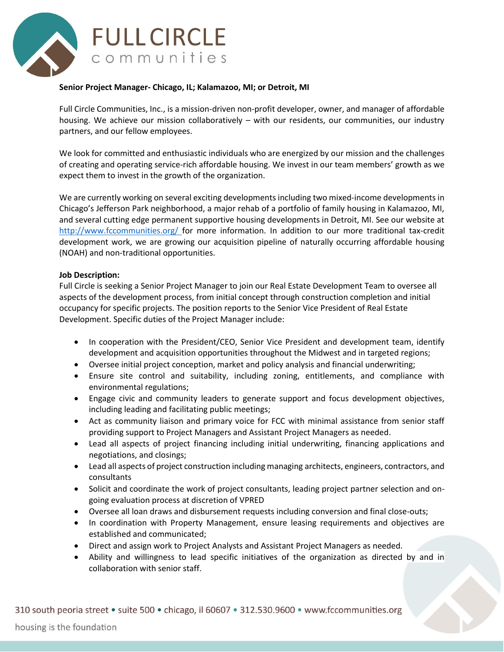

## **Senior Project Manager- Chicago, IL; Kalamazoo, MI; or Detroit, MI**

Full Circle Communities, Inc., is a mission-driven non-profit developer, owner, and manager of affordable housing. We achieve our mission collaboratively – with our residents, our communities, our industry partners, and our fellow employees.

We look for committed and enthusiastic individuals who are energized by our mission and the challenges of creating and operating service-rich affordable housing. We invest in our team members' growth as we expect them to invest in the growth of the organization.

We are currently working on several exciting developments including two mixed-income developments in Chicago's Jefferson Park neighborhood, a major rehab of a portfolio of family housing in Kalamazoo, MI, and several cutting edge permanent supportive housing developments in Detroit, MI. See our website at <http://www.fccommunities.org/> for more information. In addition to our more traditional tax-credit development work, we are growing our acquisition pipeline of naturally occurring affordable housing (NOAH) and non-traditional opportunities.

## **Job Description:**

Full Circle is seeking a Senior Project Manager to join our Real Estate Development Team to oversee all aspects of the development process, from initial concept through construction completion and initial occupancy for specific projects. The position reports to the Senior Vice President of Real Estate Development. Specific duties of the Project Manager include:

- In cooperation with the President/CEO, Senior Vice President and development team, identify development and acquisition opportunities throughout the Midwest and in targeted regions;
- Oversee initial project conception, market and policy analysis and financial underwriting;
- Ensure site control and suitability, including zoning, entitlements, and compliance with environmental regulations;
- Engage civic and community leaders to generate support and focus development objectives, including leading and facilitating public meetings;
- Act as community liaison and primary voice for FCC with minimal assistance from senior staff providing support to Project Managers and Assistant Project Managers as needed.
- Lead all aspects of project financing including initial underwriting, financing applications and negotiations, and closings;
- Lead all aspects of project construction including managing architects, engineers, contractors, and consultants
- Solicit and coordinate the work of project consultants, leading project partner selection and ongoing evaluation process at discretion of VPRED
- Oversee all loan draws and disbursement requests including conversion and final close-outs;
- In coordination with Property Management, ensure leasing requirements and objectives are established and communicated;
- Direct and assign work to Project Analysts and Assistant Project Managers as needed.
- Ability and willingness to lead specific initiatives of the organization as directed by and in collaboration with senior staff.